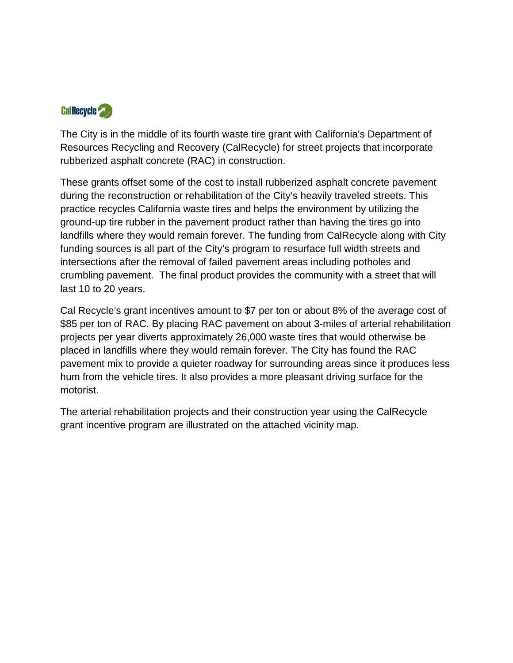

The City is in the middle of its fourth waste tire grant with California's Department of Resources Recycling and Recovery (CalRecycle) for street projects that incorporate rubberized asphalt concrete (RAC) in construction.

These grants offset some of the cost to install rubberized asphalt concrete pavement during the reconstruction or rehabilitation of the City's heavily traveled streets. This practice recycles California waste tires and helps the environment by utilizing the ground-up tire rubber in the pavement product rather than having the tires go into landfills where they would remain forever. The funding from CalRecycle along with City funding sources is all part of the City's program to resurface full width streets and intersections after the removal of failed pavement areas including potholes and crumbling pavement. The final product provides the community with a street that will last 10 to 20 years.

Cal Recycle's grant incentives amount to \$7 per ton or about 8% of the average cost of \$85 per ton of RAC. By placing RAC pavement on about 3-miles of arterial rehabilitation projects per year diverts approximately 26,000 waste tires that would otherwise be placed in landfills where they would remain forever. The City has found the RAC pavement mix to provide a quieter roadway for surrounding areas since it produces less hum from the vehicle tires. It also provides a more pleasant driving surface for the motorist.

The arterial rehabilitation projects and their construction year using the CalRecycle grant incentive program are illustrated on the attached vicinity map.